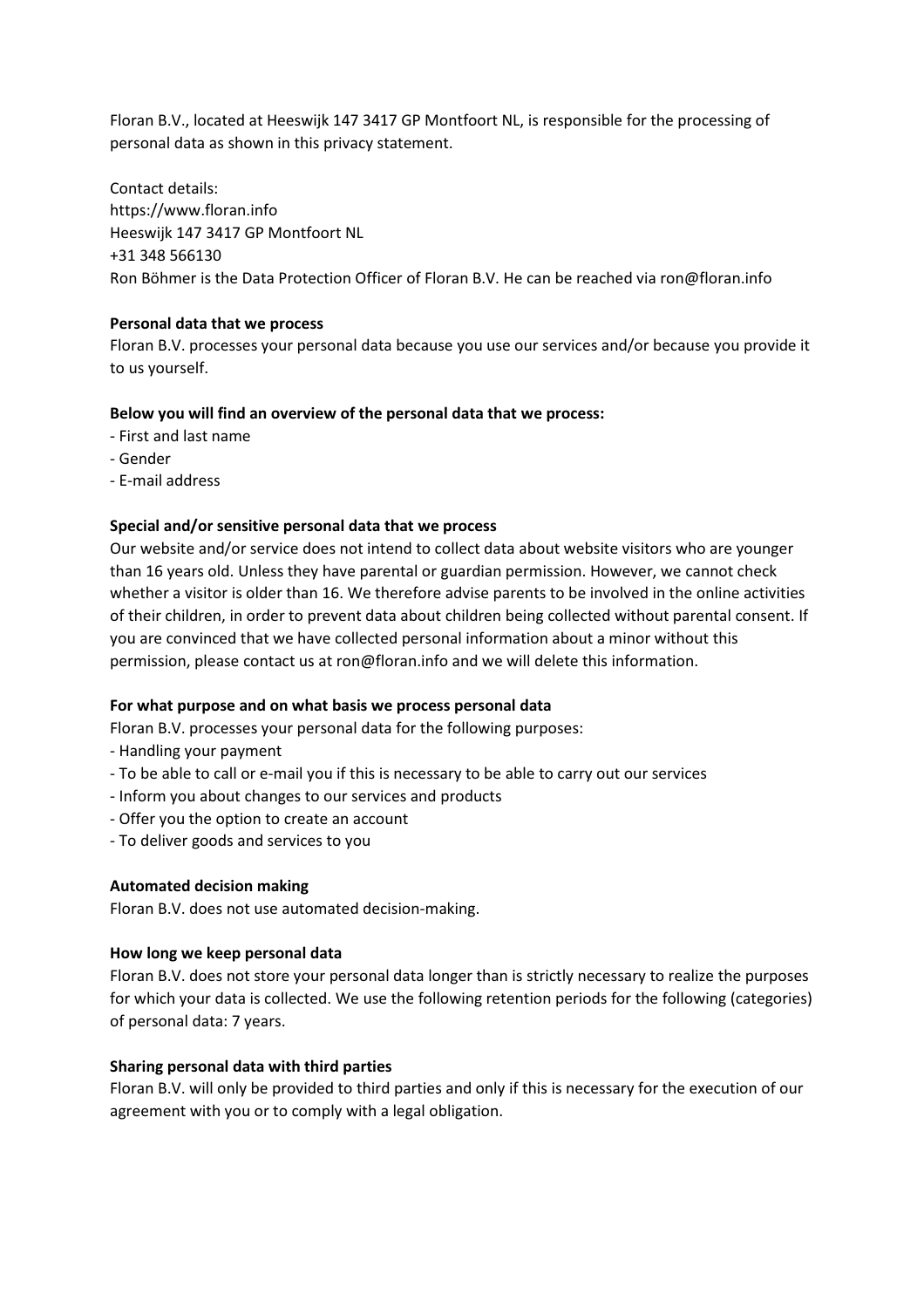Floran B.V., located at Heeswijk 147 3417 GP Montfoort NL, is responsible for the processing of personal data as shown in this privacy statement.

Contact details: https://www.floran.info Heeswijk 147 3417 GP Montfoort NL +31 348 566130 Ron Böhmer is the Data Protection Officer of Floran B.V. He can be reached via ron@floran.info

# Personal data that we process

Floran B.V. processes your personal data because you use our services and/or because you provide it to us yourself.

## Below you will find an overview of the personal data that we process:

- First and last name
- Gender
- E-mail address

## Special and/or sensitive personal data that we process

Our website and/or service does not intend to collect data about website visitors who are younger than 16 years old. Unless they have parental or guardian permission. However, we cannot check whether a visitor is older than 16. We therefore advise parents to be involved in the online activities of their children, in order to prevent data about children being collected without parental consent. If you are convinced that we have collected personal information about a minor without this permission, please contact us at ron@floran.info and we will delete this information.

### For what purpose and on what basis we process personal data

Floran B.V. processes your personal data for the following purposes:

- Handling your payment
- To be able to call or e-mail you if this is necessary to be able to carry out our services
- Inform you about changes to our services and products
- Offer you the option to create an account
- To deliver goods and services to you

### Automated decision making

Floran B.V. does not use automated decision-making.

### How long we keep personal data

Floran B.V. does not store your personal data longer than is strictly necessary to realize the purposes for which your data is collected. We use the following retention periods for the following (categories) of personal data: 7 years.

### Sharing personal data with third parties

Floran B.V. will only be provided to third parties and only if this is necessary for the execution of our agreement with you or to comply with a legal obligation.